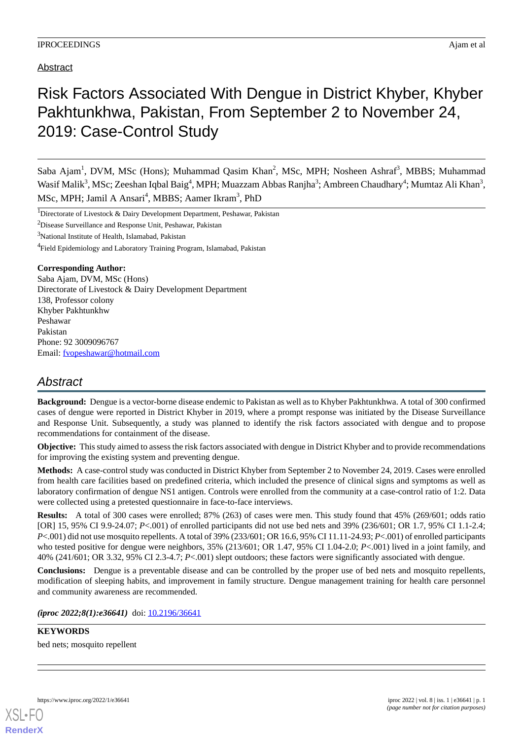Abstract

# Risk Factors Associated With Dengue in District Khyber, Khyber Pakhtunkhwa, Pakistan, From September 2 to November 24, 2019: Case-Control Study

Saba Ajam<sup>1</sup>, DVM, MSc (Hons); Muhammad Qasim Khan<sup>2</sup>, MSc, MPH; Nosheen Ashraf<sup>3</sup>, MBBS; Muhammad Wasif Malik<sup>3</sup>, MSc; Zeeshan Iqbal Baig<sup>4</sup>, MPH; Muazzam Abbas Ranjha<sup>3</sup>; Ambreen Chaudhary<sup>4</sup>; Mumtaz Ali Khan<sup>3</sup>, MSc, MPH; Jamil A Ansari<sup>4</sup>, MBBS; Aamer Ikram<sup>3</sup>, PhD

<sup>1</sup>Directorate of Livestock & Dairy Development Department, Peshawar, Pakistan

<sup>2</sup>Disease Surveillance and Response Unit, Peshawar, Pakistan

<sup>3</sup>National Institute of Health, Islamabad, Pakistan

<sup>4</sup>Field Epidemiology and Laboratory Training Program, Islamabad, Pakistan

### **Corresponding Author:**

Saba Ajam, DVM, MSc (Hons) Directorate of Livestock & Dairy Development Department 138, Professor colony Khyber Pakhtunkhw Peshawar Pakistan Phone: 92 3009096767 Email: [fvopeshawar@hotmail.com](mailto:fvopeshawar@hotmail.com)

## *Abstract*

**Background:** Dengue is a vector-borne disease endemic to Pakistan as well as to Khyber Pakhtunkhwa. A total of 300 confirmed cases of dengue were reported in District Khyber in 2019, where a prompt response was initiated by the Disease Surveillance and Response Unit. Subsequently, a study was planned to identify the risk factors associated with dengue and to propose recommendations for containment of the disease.

**Objective:** This study aimed to assess the risk factors associated with dengue in District Khyber and to provide recommendations for improving the existing system and preventing dengue.

**Methods:** A case-control study was conducted in District Khyber from September 2 to November 24, 2019. Cases were enrolled from health care facilities based on predefined criteria, which included the presence of clinical signs and symptoms as well as laboratory confirmation of dengue NS1 antigen. Controls were enrolled from the community at a case-control ratio of 1:2. Data were collected using a pretested questionnaire in face-to-face interviews.

**Results:** A total of 300 cases were enrolled; 87% (263) of cases were men. This study found that 45% (269/601; odds ratio [OR] 15, 95% CI 9.9-24.07; *P*<.001) of enrolled participants did not use bed nets and 39% (236/601; OR 1.7, 95% CI 1.1-2.4; *P*<.001) did not use mosquito repellents. A total of 39% (233/601; OR 16.6, 95% CI 11.11-24.93; *P*<.001) of enrolled participants who tested positive for dengue were neighbors, 35% (213/601; OR 1.47, 95% CI 1.04-2.0; *P*<.001) lived in a joint family, and 40% (241/601; OR 3.32, 95% CI 2.3-4.7; *P*<.001) slept outdoors; these factors were significantly associated with dengue.

**Conclusions:** Dengue is a preventable disease and can be controlled by the proper use of bed nets and mosquito repellents, modification of sleeping habits, and improvement in family structure. Dengue management training for health care personnel and community awareness are recommended.

*(iproc 2022;8(1):e36641)* doi: [10.2196/36641](http://dx.doi.org/10.2196/36641)

### **KEYWORDS**

bed nets; mosquito repellent